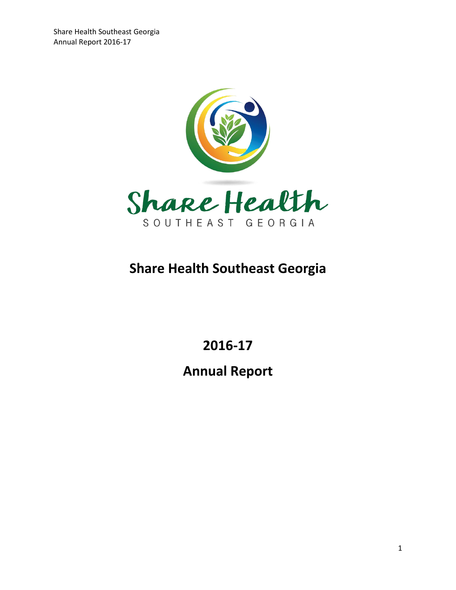Share Health Southeast Georgia Annual Report 2016-17



# **Share Health Southeast Georgia**

**2016-17**

## **Annual Report**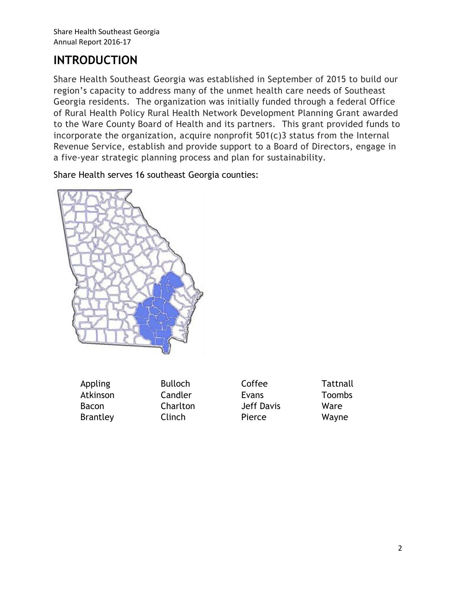# **INTRODUCTION**

Share Health Southeast Georgia was established in September of 2015 to build our region's capacity to address many of the unmet health care needs of Southeast Georgia residents. The organization was initially funded through a federal Office of Rural Health Policy Rural Health Network Development Planning Grant awarded to the Ware County Board of Health and its partners. This grant provided funds to incorporate the organization, acquire nonprofit 501(c)3 status from the Internal Revenue Service, establish and provide support to a Board of Directors, engage in a five-year strategic planning process and plan for sustainability.

Share Health serves 16 southeast Georgia counties:



| Appling         | <b>Bulloch</b> | Coffee     | <b>Tattnall</b> |
|-----------------|----------------|------------|-----------------|
| Atkinson        | Candler        | Evans      | <b>Toombs</b>   |
| <b>Bacon</b>    | Charlton       | Jeff Davis | Ware            |
| <b>Brantley</b> | Clinch         | Pierce     | Wayne           |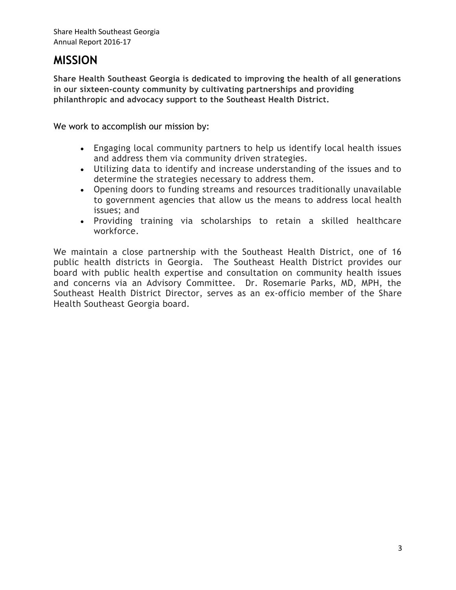## **MISSION**

**Share Health Southeast Georgia is dedicated to improving the health of all generations in our sixteen-county community by cultivating partnerships and providing philanthropic and advocacy support to the Southeast Health District.**

We work to accomplish our mission by:

- Engaging local community partners to help us identify local health issues and address them via community driven strategies.
- Utilizing data to identify and increase understanding of the issues and to determine the strategies necessary to address them.
- Opening doors to funding streams and resources traditionally unavailable to government agencies that allow us the means to address local health issues; and
- Providing training via scholarships to retain a skilled healthcare workforce.

We maintain a close partnership with the Southeast Health District, one of 16 public health districts in Georgia. The Southeast Health District provides our board with public health expertise and consultation on community health issues and concerns via an Advisory Committee. Dr. Rosemarie Parks, MD, MPH, the Southeast Health District Director, serves as an ex-officio member of the Share Health Southeast Georgia board.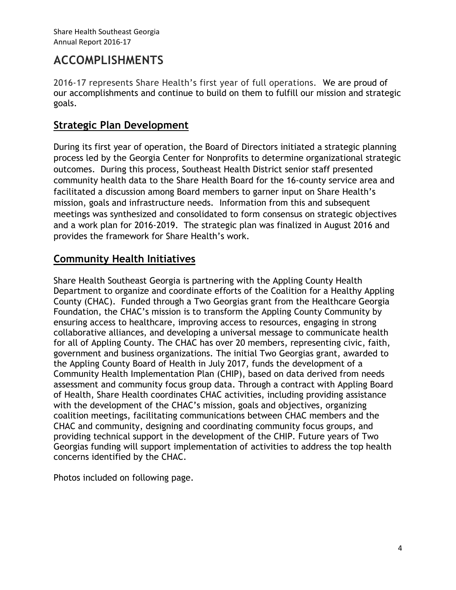## **ACCOMPLISHMENTS**

2016-17 represents Share Health's first year of full operations. We are proud of our accomplishments and continue to build on them to fulfill our mission and strategic goals.

### **Strategic Plan Development**

During its first year of operation, the Board of Directors initiated a strategic planning process led by the Georgia Center for Nonprofits to determine organizational strategic outcomes. During this process, Southeast Health District senior staff presented community health data to the Share Health Board for the 16-county service area and facilitated a discussion among Board members to garner input on Share Health's mission, goals and infrastructure needs. Information from this and subsequent meetings was synthesized and consolidated to form consensus on strategic objectives and a work plan for 2016-2019. The strategic plan was finalized in August 2016 and provides the framework for Share Health's work.

### **Community Health Initiatives**

Share Health Southeast Georgia is partnering with the Appling County Health Department to organize and coordinate efforts of the Coalition for a Healthy Appling County (CHAC). Funded through a Two Georgias grant from the Healthcare Georgia Foundation, the CHAC's mission is to transform the Appling County Community by ensuring access to healthcare, improving access to resources, engaging in strong collaborative alliances, and developing a universal message to communicate health for all of Appling County. The CHAC has over 20 members, representing civic, faith, government and business organizations. The initial Two Georgias grant, awarded to the Appling County Board of Health in July 2017, funds the development of a Community Health Implementation Plan (CHIP), based on data derived from needs assessment and community focus group data. Through a contract with Appling Board of Health, Share Health coordinates CHAC activities, including providing assistance with the development of the CHAC's mission, goals and objectives, organizing coalition meetings, facilitating communications between CHAC members and the CHAC and community, designing and coordinating community focus groups, and providing technical support in the development of the CHIP. Future years of Two Georgias funding will support implementation of activities to address the top health concerns identified by the CHAC.

Photos included on following page.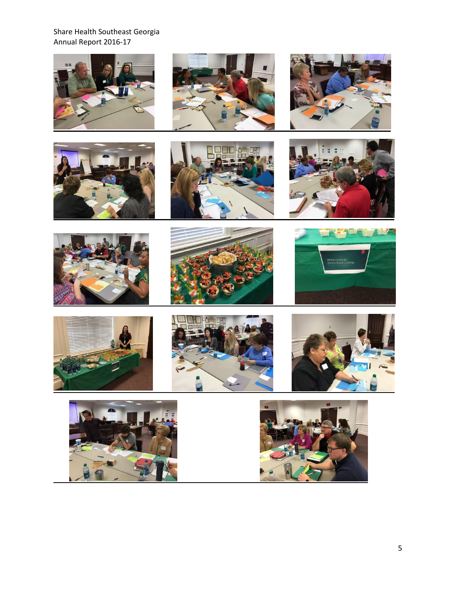#### Share Health Southeast Georgia Annual Report 2016-17

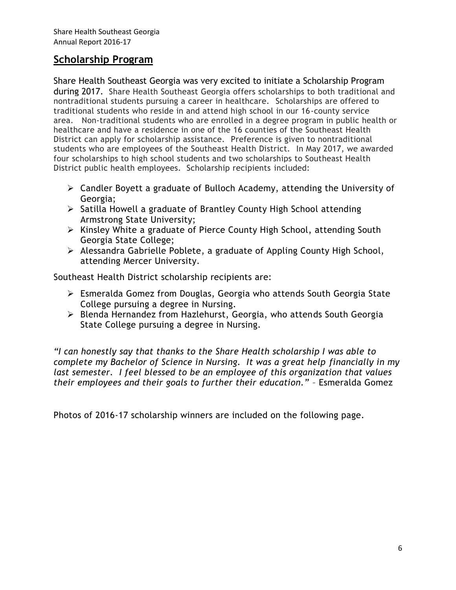### **Scholarship Program**

Share Health Southeast Georgia was very excited to initiate a Scholarship Program during 2017. Share Health Southeast Georgia offers scholarships to both traditional and nontraditional students pursuing a career in healthcare. Scholarships are offered to traditional students who reside in and attend high school in our 16-county service area. Non-traditional students who are enrolled in a degree program in public health or healthcare and have a residence in one of the 16 counties of the Southeast Health District can apply for scholarship assistance. Preference is given to nontraditional students who are employees of the Southeast Health District. In May 2017, we awarded four scholarships to high school students and two scholarships to Southeast Health District public health employees. Scholarship recipients included:

- $\triangleright$  Candler Boyett a graduate of Bulloch Academy, attending the University of Georgia;
- $\triangleright$  Satilla Howell a graduate of Brantley County High School attending Armstrong State University;
- ▶ Kinsley White a graduate of Pierce County High School, attending South Georgia State College;
- Alessandra Gabrielle Poblete, a graduate of Appling County High School, attending Mercer University.

Southeast Health District scholarship recipients are:

- Esmeralda Gomez from Douglas, Georgia who attends South Georgia State College pursuing a degree in Nursing.
- $\triangleright$  Blenda Hernandez from Hazlehurst, Georgia, who attends South Georgia State College pursuing a degree in Nursing.

*"I can honestly say that thanks to the Share Health scholarship I was able to complete my Bachelor of Science in Nursing. It was a great help financially in my last semester. I feel blessed to be an employee of this organization that values their employees and their goals to further their education."* – Esmeralda Gomez

Photos of 2016-17 scholarship winners are included on the following page.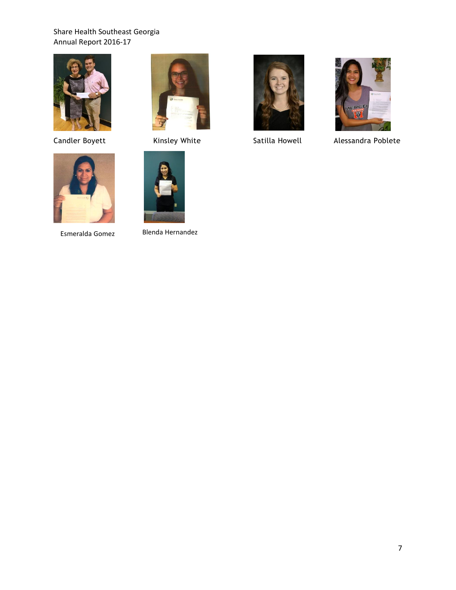#### Share Health Southeast Georgia Annual Report 2016-17





Esmeralda Gomez Blenda Hernandez